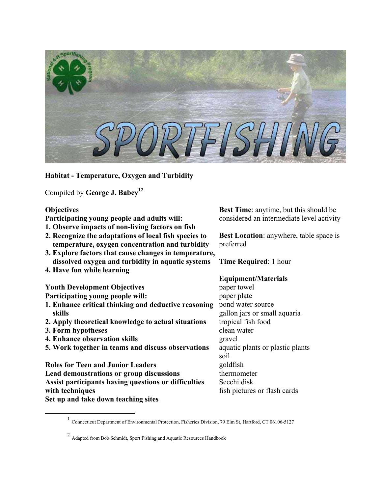

**Habitat - Temperature, Oxygen and Turbidity** 

Compiled by **George J. Babe[y1](#page-0-0)[2](#page-0-1)**

### **Objectives**

**Participating young people and adults will:** 

- **1. Observe impacts of non-living factors on fish**
- **2. Recognize the adaptations of local fish species to temperature, oxygen concentration and turbidity**
- **3. Explore factors that cause changes in temperature, dissolved oxygen and turbidity in aquatic systems**
- **4. Have fun while learning**

**Youth Development Objectives** 

**Participating young people will:** 

- **1. Enhance critical thinking and deductive reasoning skills**
- **2. Apply theoretical knowledge to actual situations**
- **3. Form hypotheses**
- **4. Enhance observation skills**
- **5. Work together in teams and discuss observations**

**Roles for Teen and Junior Leaders Lead demonstrations or group discussions Assist participants having questions or difficulties with techniques Set up and take down teaching sites** 

**Best Time**: anytime, but this should be considered an intermediate level activity

**Best Location**: anywhere, table space is preferred

**Time Required**: 1 hour

### **Equipment/Materials**

paper towel paper plate pond water source gallon jars or small aquaria tropical fish food clean water gravel aquatic plants or plastic plants soil goldfish thermometer Secchi disk fish pictures or flash cards

<span id="page-0-0"></span><sup>&</sup>lt;sup>1</sup> Connecticut Department of Environmental Protection, Fisheries Division, 79 Elm St, Hartford, CT 06106-5127

<span id="page-0-1"></span><sup>2</sup> Adapted from Bob Schmidt, Sport Fishing and Aquatic Resources Handbook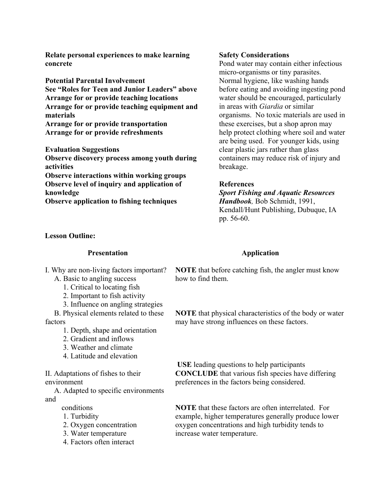**Relate personal experiences to make learning concrete** 

**Potential Parental Involvement See "Roles for Teen and Junior Leaders" above Arrange for or provide teaching locations Arrange for or provide teaching equipment and materials Arrange for or provide transportation Arrange for or provide refreshments** 

**Evaluation Suggestions Observe discovery process among youth during activities Observe interactions within working groups Observe level of inquiry and application of** 

**knowledge Observe application to fishing techniques**

### **Lesson Outline:**

#### **Presentation**

I. Why are non-living factors important? A. Basic to angling success

- 1. Critical to locating fish
- 2. Important to fish activity
- 3. Influence on angling strategies

B. Physical elements related to these factors

- 1. Depth, shape and orientation
- 2. Gradient and inflows
- 3. Weather and climate
- 4. Latitude and elevation

II. Adaptations of fishes to their environment

A. Adapted to specific environments and

- conditions
- 1. Turbidity
- 2. Oxygen concentration
- 3. Water temperature
- 4. Factors often interact

#### **Safety Considerations**

Pond water may contain either infectious micro-organisms or tiny parasites. Normal hygiene, like washing hands before eating and avoiding ingesting pond water should be encouraged, particularly in areas with *Giardia* or similar organisms. No toxic materials are used in these exercises, but a shop apron may help protect clothing where soil and water are being used. For younger kids, using clear plastic jars rather than glass containers may reduce risk of injury and breakage.

### **References**

*Sport Fishing and Aquatic Resources Handbook,* Bob Schmidt, 1991, Kendall/Hunt Publishing, Dubuque, IA pp. 56-60.

### **Application**

**NOTE** that before catching fish, the angler must know how to find them.

**NOTE** that physical characteristics of the body or water may have strong influences on these factors.

**USE** leading questions to help participants **CONCLUDE** that various fish species have differing preferences in the factors being considered.

**NOTE** that these factors are often interrelated. For example, higher temperatures generally produce lower oxygen concentrations and high turbidity tends to increase water temperature.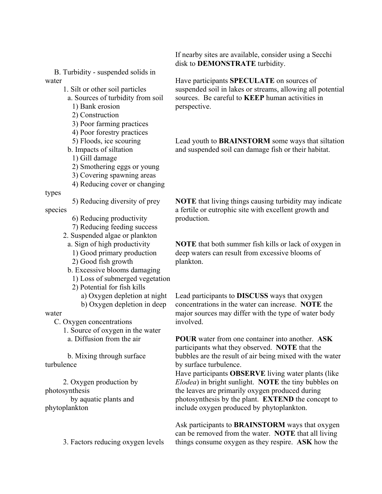B. Turbidity - suspended solids in water

- 1. Silt or other soil particles
	- a. Sources of turbidity from soil
		- 1) Bank erosion 2) Construction
		- 3) Poor farming practices
		- 4) Poor forestry practices
		- 5) Floods, ice scouring
	- b. Impacts of siltation
	- 1) Gill damage
	- 2) Smothering eggs or young
	- 3) Covering spawning areas
	- 4) Reducing cover or changing

### types

5) Reducing diversity of prey

species

- 6) Reducing productivity
- 7) Reducing feeding success
- 2. Suspended algae or plankton a. Sign of high productivity
	- 1) Good primary production
	- 2) Good fish growth
	- b. Excessive blooms damaging
		- 1) Loss of submerged vegetation
		- 2) Potential for fish kills
			- a) Oxygen depletion at night
			- b) Oxygen depletion in deep

# water

C. Oxygen concentrations

1. Source of oxygen in the water

a. Diffusion from the air

b. Mixing through surface turbulence

2. Oxygen production by photosynthesis

 by aquatic plants and phytoplankton

3. Factors reducing oxygen levels

If nearby sites are available, consider using a Secchi disk to **DEMONSTRATE** turbidity.

Have participants **SPECULATE** on sources of suspended soil in lakes or streams, allowing all potential sources. Be careful to **KEEP** human activities in perspective.

Lead youth to **BRAINSTORM** some ways that siltation and suspended soil can damage fish or their habitat.

**NOTE** that living things causing turbidity may indicate a fertile or eutrophic site with excellent growth and production.

**NOTE** that both summer fish kills or lack of oxygen in deep waters can result from excessive blooms of plankton.

Lead participants to **DISCUSS** ways that oxygen concentrations in the water can increase. **NOTE** the major sources may differ with the type of water body involved.

**POUR** water from one container into another. **ASK**  participants what they observed. **NOTE** that the bubbles are the result of air being mixed with the water by surface turbulence.

Have participants **OBSERVE** living water plants (like *Elodea*) in bright sunlight. **NOTE** the tiny bubbles on the leaves are primarily oxygen produced during photosynthesis by the plant. **EXTEND** the concept to include oxygen produced by phytoplankton.

Ask participants to **BRAINSTORM** ways that oxygen can be removed from the water. **NOTE** that all living things consume oxygen as they respire. **ASK** how the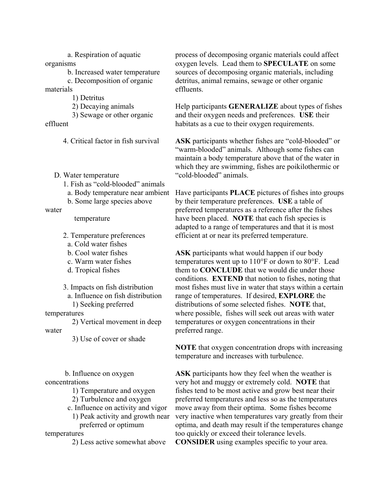a. Respiration of aquatic organisms b. Increased water temperature

c. Decomposition of organic materials

1) Detritus

2) Decaying animals

3) Sewage or other organic effluent

4. Critical factor in fish survival

D. Water temperature

- 1. Fish as "cold-blooded" animals
- a. Body temperature near ambient
- b. Some large species above

water

temperature

2. Temperature preferences a. Cold water fishes

- 
- b. Cool water fishes
- c. Warm water fishes
- d. Tropical fishes

3. Impacts on fish distribution a. Influence on fish distribution

1) Seeking preferred

temperatures

2) Vertical movement in deep water

3) Use of cover or shade

 b. Influence on oxygen concentrations 1) Temperature and oxygen 2) Turbulence and oxygen c. Influence on activity and vigor 1) Peak activity and growth near preferred or optimum

temperatures

2) Less active somewhat above

process of decomposing organic materials could affect oxygen levels. Lead them to **SPECULATE** on some sources of decomposing organic materials, including detritus, animal remains, sewage or other organic effluents.

Help participants **GENERALIZE** about types of fishes and their oxygen needs and preferences. **USE** their habitats as a cue to their oxygen requirements.

**ASK** participants whether fishes are "cold-blooded" or "warm-blooded" animals. Although some fishes can maintain a body temperature above that of the water in which they are swimming, fishes are poikilothermic or "cold-blooded" animals.

Have participants **PLACE** pictures of fishes into groups by their temperature preferences. **USE** a table of preferred temperatures as a reference after the fishes have been placed. **NOTE** that each fish species is adapted to a range of temperatures and that it is most efficient at or near its preferred temperature.

**ASK** participants what would happen if our body temperatures went up to 110°F or down to 80°F. Lead them to **CONCLUDE** that we would die under those conditions. **EXTEND** that notion to fishes, noting that most fishes must live in water that stays within a certain range of temperatures. If desired, **EXPLORE** the distributions of some selected fishes. **NOTE** that, where possible, fishes will seek out areas with water temperatures or oxygen concentrations in their preferred range.

**NOTE** that oxygen concentration drops with increasing temperature and increases with turbulence.

**ASK** participants how they feel when the weather is very hot and muggy or extremely cold. **NOTE** that fishes tend to be most active and grow best near their preferred temperatures and less so as the temperatures move away from their optima. Some fishes become very inactive when temperatures vary greatly from their optima, and death may result if the temperatures change too quickly or exceed their tolerance levels. **CONSIDER** using examples specific to your area.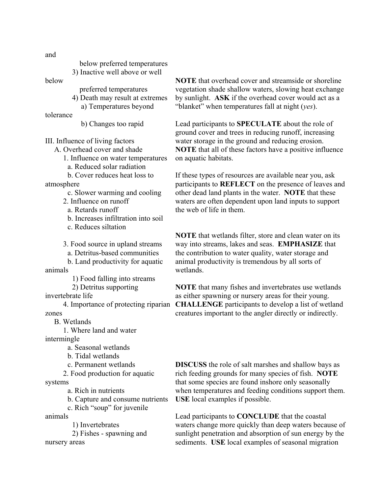below preferred temperatures 3) Inactive well above or well

#### below

tolerance

preferred temperatures

- 4) Death may result at extremes a) Temperatures beyond
	-

b) Changes too rapid

III. Influence of living factors

A. Overhead cover and shade

1. Influence on water temperatures

a. Reduced solar radiation

b. Cover reduces heat loss to atmosphere

- c. Slower warming and cooling
- 2. Influence on runoff
	- a. Retards runoff
	- b. Increases infiltration into soil
	- c. Reduces siltation

3. Food source in upland streams

a. Detritus-based communities

b. Land productivity for aquatic animals

1) Food falling into streams

2) Detritus supporting

invertebrate life

4. Importance of protecting riparian zones

B. Wetlands

1. Where land and water

intermingle

a. Seasonal wetlands

b. Tidal wetlands

c. Permanent wetlands

2. Food production for aquatic

systems

a. Rich in nutrients

b. Capture and consume nutrients

c. Rich "soup" for juvenile

animals

1) Invertebrates

2) Fishes - spawning and nursery areas

**NOTE** that overhead cover and streamside or shoreline vegetation shade shallow waters, slowing heat exchange by sunlight. **ASK** if the overhead cover would act as a "blanket" when temperatures fall at night (*yes*).

Lead participants to **SPECULATE** about the role of ground cover and trees in reducing runoff, increasing water storage in the ground and reducing erosion. **NOTE** that all of these factors have a positive influence on aquatic habitats.

If these types of resources are available near you, ask participants to **REFLECT** on the presence of leaves and other dead land plants in the water. **NOTE** that these waters are often dependent upon land inputs to support the web of life in them.

**NOTE** that wetlands filter, store and clean water on its way into streams, lakes and seas. **EMPHASIZE** that the contribution to water quality, water storage and animal productivity is tremendous by all sorts of wetlands.

**NOTE** that many fishes and invertebrates use wetlands as either spawning or nursery areas for their young. **CHALLENGE** participants to develop a list of wetland creatures important to the angler directly or indirectly.

**DISCUSS** the role of salt marshes and shallow bays as rich feeding grounds for many species of fish. **NOTE** that some species are found inshore only seasonally when temperatures and feeding conditions support them. **USE** local examples if possible.

Lead participants to **CONCLUDE** that the coastal waters change more quickly than deep waters because of sunlight penetration and absorption of sun energy by the sediments. **USE** local examples of seasonal migration

and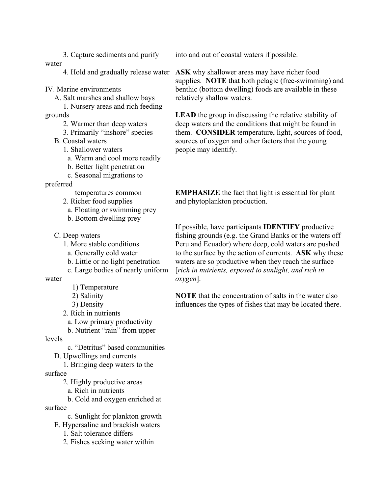3. Capture sediments and purify water

IV. Marine environments

A. Salt marshes and shallow bays

1. Nursery areas and rich feeding grounds

2. Warmer than deep waters

3. Primarily "inshore" species

B. Coastal waters

1. Shallower waters

a. Warm and cool more readily

b. Better light penetration

c. Seasonal migrations to

preferred

temperatures common

2. Richer food supplies

a. Floating or swimming prey

b. Bottom dwelling prey

C. Deep waters

1. More stable conditions

a. Generally cold water

b. Little or no light penetration

c. Large bodies of nearly uniform

water

1) Temperature

2) Salinity

3) Density

2. Rich in nutrients

a. Low primary productivity

b. Nutrient "rain" from upper

levels

c. "Detritus" based communities

D. Upwellings and currents

1. Bringing deep waters to the

surface

2. Highly productive areas

a. Rich in nutrients

b. Cold and oxygen enriched at

surface

c. Sunlight for plankton growth

E. Hypersaline and brackish waters

1. Salt tolerance differs

2. Fishes seeking water within

into and out of coastal waters if possible.

4. Hold and gradually release water **ASK** why shallower areas may have richer food supplies. **NOTE** that both pelagic (free-swimming) and benthic (bottom dwelling) foods are available in these relatively shallow waters.

> LEAD the group in discussing the relative stability of deep waters and the conditions that might be found in them. **CONSIDER** temperature, light, sources of food, sources of oxygen and other factors that the young people may identify.

**EMPHASIZE** the fact that light is essential for plant and phytoplankton production.

If possible, have participants **IDENTIFY** productive fishing grounds (e.g. the Grand Banks or the waters off Peru and Ecuador) where deep, cold waters are pushed to the surface by the action of currents. **ASK** why these waters are so productive when they reach the surface [*rich in nutrients, exposed to sunlight, and rich in oxygen*].

**NOTE** that the concentration of salts in the water also influences the types of fishes that may be located there.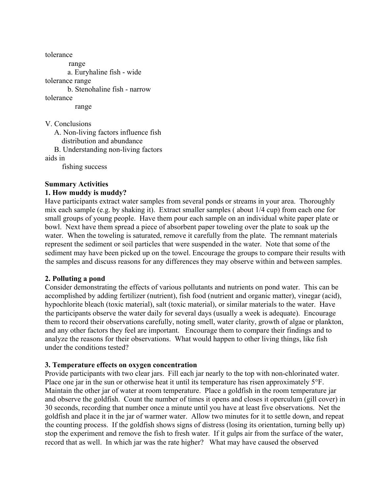tolerance range a. Euryhaline fish - wide tolerance range b. Stenohaline fish - narrow tolerance range V. Conclusions A. Non-living factors influence fish distribution and abundance

B. Understanding non-living factors aids in

fishing success

### **Summary Activities**

### **1. How muddy is muddy?**

Have participants extract water samples from several ponds or streams in your area. Thoroughly mix each sample (e.g. by shaking it). Extract smaller samples ( about 1/4 cup) from each one for small groups of young people. Have them pour each sample on an individual white paper plate or bowl. Next have them spread a piece of absorbent paper toweling over the plate to soak up the water. When the toweling is saturated, remove it carefully from the plate. The remnant materials represent the sediment or soil particles that were suspended in the water. Note that some of the sediment may have been picked up on the towel. Encourage the groups to compare their results with the samples and discuss reasons for any differences they may observe within and between samples.

### **2. Polluting a pond**

Consider demonstrating the effects of various pollutants and nutrients on pond water. This can be accomplished by adding fertilizer (nutrient), fish food (nutrient and organic matter), vinegar (acid), hypochlorite bleach (toxic material), salt (toxic material), or similar materials to the water. Have the participants observe the water daily for several days (usually a week is adequate). Encourage them to record their observations carefully, noting smell, water clarity, growth of algae or plankton, and any other factors they feel are important. Encourage them to compare their findings and to analyze the reasons for their observations. What would happen to other living things, like fish under the conditions tested?

### **3. Temperature effects on oxygen concentration**

Provide participants with two clear jars. Fill each jar nearly to the top with non-chlorinated water. Place one jar in the sun or otherwise heat it until its temperature has risen approximately 5°F. Maintain the other jar of water at room temperature. Place a goldfish in the room temperature jar and observe the goldfish. Count the number of times it opens and closes it operculum (gill cover) in 30 seconds, recording that number once a minute until you have at least five observations. Net the goldfish and place it in the jar of warmer water. Allow two minutes for it to settle down, and repeat the counting process. If the goldfish shows signs of distress (losing its orientation, turning belly up) stop the experiment and remove the fish to fresh water. If it gulps air from the surface of the water, record that as well. In which jar was the rate higher? What may have caused the observed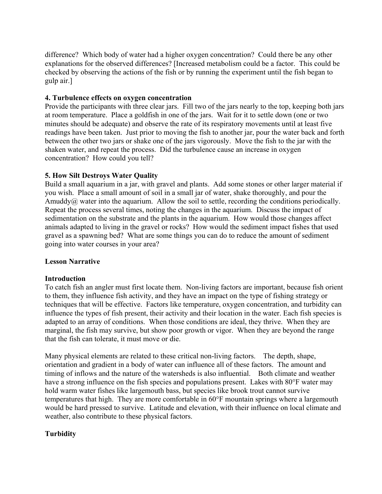difference? Which body of water had a higher oxygen concentration? Could there be any other explanations for the observed differences? [Increased metabolism could be a factor. This could be checked by observing the actions of the fish or by running the experiment until the fish began to gulp air.]

### **4. Turbulence effects on oxygen concentration**

Provide the participants with three clear jars. Fill two of the jars nearly to the top, keeping both jars at room temperature. Place a goldfish in one of the jars. Wait for it to settle down (one or two minutes should be adequate) and observe the rate of its respiratory movements until at least five readings have been taken. Just prior to moving the fish to another jar, pour the water back and forth between the other two jars or shake one of the jars vigorously. Move the fish to the jar with the shaken water, and repeat the process. Did the turbulence cause an increase in oxygen concentration? How could you tell?

### **5. How Silt Destroys Water Quality**

Build a small aquarium in a jar, with gravel and plants. Add some stones or other larger material if you wish. Place a small amount of soil in a small jar of water, shake thoroughly, and pour the Amuddy@ water into the aquarium. Allow the soil to settle, recording the conditions periodically. Repeat the process several times, noting the changes in the aquarium. Discuss the impact of sedimentation on the substrate and the plants in the aquarium. How would those changes affect animals adapted to living in the gravel or rocks? How would the sediment impact fishes that used gravel as a spawning bed? What are some things you can do to reduce the amount of sediment going into water courses in your area?

### **Lesson Narrative**

### **Introduction**

To catch fish an angler must first locate them. Non-living factors are important, because fish orient to them, they influence fish activity, and they have an impact on the type of fishing strategy or techniques that will be effective. Factors like temperature, oxygen concentration, and turbidity can influence the types of fish present, their activity and their location in the water. Each fish species is adapted to an array of conditions. When those conditions are ideal, they thrive. When they are marginal, the fish may survive, but show poor growth or vigor. When they are beyond the range that the fish can tolerate, it must move or die.

Many physical elements are related to these critical non-living factors. The depth, shape, orientation and gradient in a body of water can influence all of these factors. The amount and timing of inflows and the nature of the watersheds is also influential. Both climate and weather have a strong influence on the fish species and populations present. Lakes with 80°F water may hold warm water fishes like largemouth bass, but species like brook trout cannot survive temperatures that high. They are more comfortable in 60°F mountain springs where a largemouth would be hard pressed to survive. Latitude and elevation, with their influence on local climate and weather, also contribute to these physical factors.

# **Turbidity**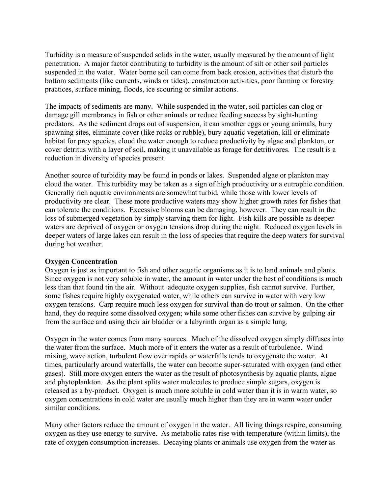Turbidity is a measure of suspended solids in the water, usually measured by the amount of light penetration. A major factor contributing to turbidity is the amount of silt or other soil particles suspended in the water. Water borne soil can come from back erosion, activities that disturb the bottom sediments (like currents, winds or tides), construction activities, poor farming or forestry practices, surface mining, floods, ice scouring or similar actions.

The impacts of sediments are many. While suspended in the water, soil particles can clog or damage gill membranes in fish or other animals or reduce feeding success by sight-hunting predators. As the sediment drops out of suspension, it can smother eggs or young animals, bury spawning sites, eliminate cover (like rocks or rubble), bury aquatic vegetation, kill or eliminate habitat for prey species, cloud the water enough to reduce productivity by algae and plankton, or cover detritus with a layer of soil, making it unavailable as forage for detritivores. The result is a reduction in diversity of species present.

Another source of turbidity may be found in ponds or lakes. Suspended algae or plankton may cloud the water. This turbidity may be taken as a sign of high productivity or a eutrophic condition. Generally rich aquatic environments are somewhat turbid, while those with lower levels of productivity are clear. These more productive waters may show higher growth rates for fishes that can tolerate the conditions. Excessive blooms can be damaging, however. They can result in the loss of submerged vegetation by simply starving them for light. Fish kills are possible as deeper waters are deprived of oxygen or oxygen tensions drop during the night. Reduced oxygen levels in deeper waters of large lakes can result in the loss of species that require the deep waters for survival during hot weather.

### **Oxygen Concentration**

Oxygen is just as important to fish and other aquatic organisms as it is to land animals and plants. Since oxygen is not very soluble in water, the amount in water under the best of conditions is much less than that found tin the air. Without adequate oxygen supplies, fish cannot survive. Further, some fishes require highly oxygenated water, while others can survive in water with very low oxygen tensions. Carp require much less oxygen for survival than do trout or salmon. On the other hand, they do require some dissolved oxygen; while some other fishes can survive by gulping air from the surface and using their air bladder or a labyrinth organ as a simple lung.

Oxygen in the water comes from many sources. Much of the dissolved oxygen simply diffuses into the water from the surface. Much more of it enters the water as a result of turbulence. Wind mixing, wave action, turbulent flow over rapids or waterfalls tends to oxygenate the water. At times, particularly around waterfalls, the water can become super-saturated with oxygen (and other gases). Still more oxygen enters the water as the result of photosynthesis by aquatic plants, algae and phytoplankton. As the plant splits water molecules to produce simple sugars, oxygen is released as a by-product. Oxygen is much more soluble in cold water than it is in warm water, so oxygen concentrations in cold water are usually much higher than they are in warm water under similar conditions.

Many other factors reduce the amount of oxygen in the water. All living things respire, consuming oxygen as they use energy to survive. As metabolic rates rise with temperature (within limits), the rate of oxygen consumption increases. Decaying plants or animals use oxygen from the water as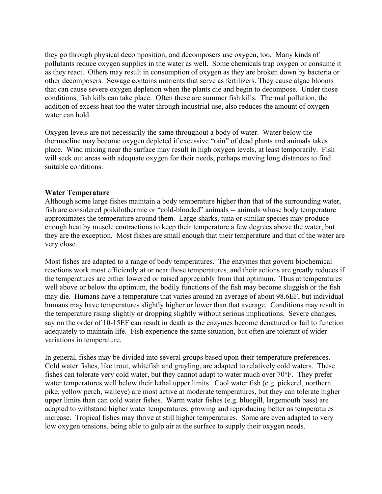they go through physical decomposition; and decomposers use oxygen, too. Many kinds of pollutants reduce oxygen supplies in the water as well. Some chemicals trap oxygen or consume it as they react. Others may result in consumption of oxygen as they are broken down by bacteria or other decomposers. Sewage contains nutrients that serve as fertilizers. They cause algae blooms that can cause severe oxygen depletion when the plants die and begin to decompose. Under those conditions, fish kills can take place. Often these are summer fish kills. Thermal pollution, the addition of excess heat too the water through industrial use, also reduces the amount of oxygen water can hold.

Oxygen levels are not necessarily the same throughout a body of water. Water below the thermocline may become oxygen depleted if excessive "rain" of dead plants and animals takes place. Wind mixing near the surface may result in high oxygen levels, at least temporarily. Fish will seek out areas with adequate oxygen for their needs, perhaps moving long distances to find suitable conditions.

### **Water Temperature**

Although some large fishes maintain a body temperature higher than that of the surrounding water, fish are considered poikilothermic or "cold-blooded" animals -- animals whose body temperature approximates the temperature around them. Large sharks, tuna or similar species may produce enough heat by muscle contractions to keep their temperature a few degrees above the water, but they are the exception. Most fishes are small enough that their temperature and that of the water are very close.

Most fishes are adapted to a range of body temperatures. The enzymes that govern biochemical reactions work most efficiently at or near those temperatures, and their actions are greatly reduces if the temperatures are either lowered or raised appreciably from that optimum. Thus at temperatures well above or below the optimum, the bodily functions of the fish may become sluggish or the fish may die. Humans have a temperature that varies around an average of about 98.6ΕF, but individual humans may have temperatures slightly higher or lower than that average. Conditions may result in the temperature rising slightly or dropping slightly without serious implications. Severe changes, say on the order of 10-15ΕF can result in death as the enzymes become denatured or fail to function adequately to maintain life. Fish experience the same situation, but often are tolerant of wider variations in temperature.

In general, fishes may be divided into several groups based upon their temperature preferences. Cold water fishes, like trout, whitefish and grayling, are adapted to relatively cold waters. These fishes can tolerate very cold water, but they cannot adapt to water much over 70°F. They prefer water temperatures well below their lethal upper limits. Cool water fish (e.g. pickerel, northern pike, yellow perch, walleye) are most active at moderate temperatures, but they can tolerate higher upper limits than can cold water fishes. Warm water fishes (e.g. bluegill, largemouth bass) are adapted to withstand higher water temperatures, growing and reproducing better as temperatures increase. Tropical fishes may thrive at still higher temperatures. Some are even adapted to very low oxygen tensions, being able to gulp air at the surface to supply their oxygen needs.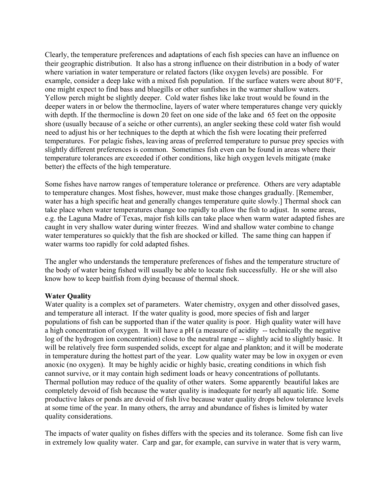Clearly, the temperature preferences and adaptations of each fish species can have an influence on their geographic distribution. It also has a strong influence on their distribution in a body of water where variation in water temperature or related factors (like oxygen levels) are possible. For example, consider a deep lake with a mixed fish population. If the surface waters were about 80°F, one might expect to find bass and bluegills or other sunfishes in the warmer shallow waters. Yellow perch might be slightly deeper. Cold water fishes like lake trout would be found in the deeper waters in or below the thermocline, layers of water where temperatures change very quickly with depth. If the thermocline is down 20 feet on one side of the lake and 65 feet on the opposite shore (usually because of a seiche or other currents), an angler seeking these cold water fish would need to adjust his or her techniques to the depth at which the fish were locating their preferred temperatures. For pelagic fishes, leaving areas of preferred temperature to pursue prey species with slightly different preferences is common. Sometimes fish even can be found in areas where their temperature tolerances are exceeded if other conditions, like high oxygen levels mitigate (make better) the effects of the high temperature.

Some fishes have narrow ranges of temperature tolerance or preference. Others are very adaptable to temperature changes. Most fishes, however, must make those changes gradually. [Remember, water has a high specific heat and generally changes temperature quite slowly.] Thermal shock can take place when water temperatures change too rapidly to allow the fish to adjust. In some areas, e.g. the Laguna Madre of Texas, major fish kills can take place when warm water adapted fishes are caught in very shallow water during winter freezes. Wind and shallow water combine to change water temperatures so quickly that the fish are shocked or killed. The same thing can happen if water warms too rapidly for cold adapted fishes.

The angler who understands the temperature preferences of fishes and the temperature structure of the body of water being fished will usually be able to locate fish successfully. He or she will also know how to keep baitfish from dying because of thermal shock.

### **Water Quality**

Water quality is a complex set of parameters. Water chemistry, oxygen and other dissolved gases, and temperature all interact. If the water quality is good, more species of fish and larger populations of fish can be supported than if the water quality is poor. High quality water will have a high concentration of oxygen. It will have a pH (a measure of acidity -- technically the negative log of the hydrogen ion concentration) close to the neutral range -- slightly acid to slightly basic. It will be relatively free form suspended solids, except for algae and plankton; and it will be moderate in temperature during the hottest part of the year. Low quality water may be low in oxygen or even anoxic (no oxygen). It may be highly acidic or highly basic, creating conditions in which fish cannot survive, or it may contain high sediment loads or heavy concentrations of pollutants. Thermal pollution may reduce of the quality of other waters. Some apparently beautiful lakes are completely devoid of fish because the water quality is inadequate for nearly all aquatic life. Some productive lakes or ponds are devoid of fish live because water quality drops below tolerance levels at some time of the year. In many others, the array and abundance of fishes is limited by water quality considerations.

The impacts of water quality on fishes differs with the species and its tolerance. Some fish can live in extremely low quality water. Carp and gar, for example, can survive in water that is very warm,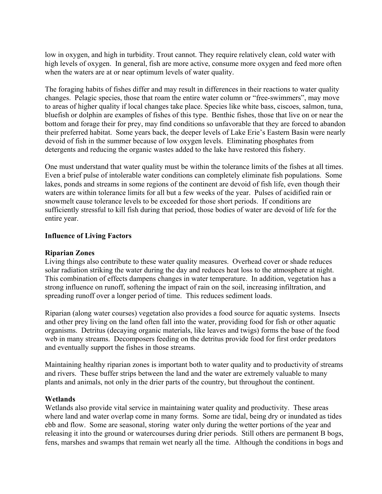low in oxygen, and high in turbidity. Trout cannot. They require relatively clean, cold water with high levels of oxygen. In general, fish are more active, consume more oxygen and feed more often when the waters are at or near optimum levels of water quality.

The foraging habits of fishes differ and may result in differences in their reactions to water quality changes. Pelagic species, those that roam the entire water column or "free-swimmers", may move to areas of higher quality if local changes take place. Species like white bass, ciscoes, salmon, tuna, bluefish or dolphin are examples of fishes of this type. Benthic fishes, those that live on or near the bottom and forage their for prey, may find conditions so unfavorable that they are forced to abandon their preferred habitat. Some years back, the deeper levels of Lake Erie's Eastern Basin were nearly devoid of fish in the summer because of low oxygen levels. Eliminating phosphates from detergents and reducing the organic wastes added to the lake have restored this fishery.

One must understand that water quality must be within the tolerance limits of the fishes at all times. Even a brief pulse of intolerable water conditions can completely eliminate fish populations. Some lakes, ponds and streams in some regions of the continent are devoid of fish life, even though their waters are within tolerance limits for all but a few weeks of the year. Pulses of acidified rain or snowmelt cause tolerance levels to be exceeded for those short periods. If conditions are sufficiently stressful to kill fish during that period, those bodies of water are devoid of life for the entire year.

### **Influence of Living Factors**

### **Riparian Zones**

Living things also contribute to these water quality measures. Overhead cover or shade reduces solar radiation striking the water during the day and reduces heat loss to the atmosphere at night. This combination of effects dampens changes in water temperature. In addition, vegetation has a strong influence on runoff, softening the impact of rain on the soil, increasing infiltration, and spreading runoff over a longer period of time. This reduces sediment loads.

Riparian (along water courses) vegetation also provides a food source for aquatic systems. Insects and other prey living on the land often fall into the water, providing food for fish or other aquatic organisms. Detritus (decaying organic materials, like leaves and twigs) forms the base of the food web in many streams. Decomposers feeding on the detritus provide food for first order predators and eventually support the fishes in those streams.

Maintaining healthy riparian zones is important both to water quality and to productivity of streams and rivers. These buffer strips between the land and the water are extremely valuable to many plants and animals, not only in the drier parts of the country, but throughout the continent.

### **Wetlands**

Wetlands also provide vital service in maintaining water quality and productivity. These areas where land and water overlap come in many forms. Some are tidal, being dry or inundated as tides ebb and flow. Some are seasonal, storing water only during the wetter portions of the year and releasing it into the ground or watercourses during drier periods. Still others are permanent B bogs, fens, marshes and swamps that remain wet nearly all the time. Although the conditions in bogs and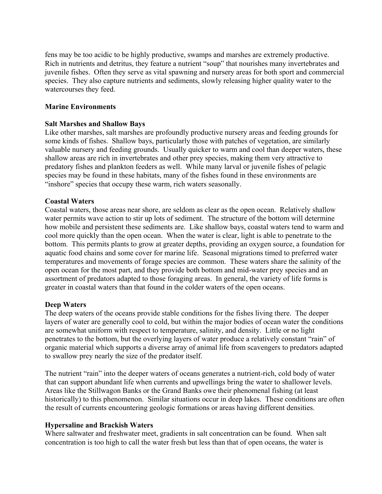fens may be too acidic to be highly productive, swamps and marshes are extremely productive. Rich in nutrients and detritus, they feature a nutrient "soup" that nourishes many invertebrates and juvenile fishes. Often they serve as vital spawning and nursery areas for both sport and commercial species. They also capture nutrients and sediments, slowly releasing higher quality water to the watercourses they feed.

### **Marine Environments**

### **Salt Marshes and Shallow Bays**

Like other marshes, salt marshes are profoundly productive nursery areas and feeding grounds for some kinds of fishes. Shallow bays, particularly those with patches of vegetation, are similarly valuable nursery and feeding grounds. Usually quicker to warm and cool than deeper waters, these shallow areas are rich in invertebrates and other prey species, making them very attractive to predatory fishes and plankton feeders as well. While many larval or juvenile fishes of pelagic species may be found in these habitats, many of the fishes found in these environments are "inshore" species that occupy these warm, rich waters seasonally.

### **Coastal Waters**

Coastal waters, those areas near shore, are seldom as clear as the open ocean. Relatively shallow water permits wave action to stir up lots of sediment. The structure of the bottom will determine how mobile and persistent these sediments are. Like shallow bays, coastal waters tend to warm and cool more quickly than the open ocean. When the water is clear, light is able to penetrate to the bottom. This permits plants to grow at greater depths, providing an oxygen source, a foundation for aquatic food chains and some cover for marine life. Seasonal migrations timed to preferred water temperatures and movements of forage species are common. These waters share the salinity of the open ocean for the most part, and they provide both bottom and mid-water prey species and an assortment of predators adapted to those foraging areas. In general, the variety of life forms is greater in coastal waters than that found in the colder waters of the open oceans.

### **Deep Waters**

The deep waters of the oceans provide stable conditions for the fishes living there. The deeper layers of water are generally cool to cold, but within the major bodies of ocean water the conditions are somewhat uniform with respect to temperature, salinity, and density. Little or no light penetrates to the bottom, but the overlying layers of water produce a relatively constant "rain" of organic material which supports a diverse array of animal life from scavengers to predators adapted to swallow prey nearly the size of the predator itself.

The nutrient "rain" into the deeper waters of oceans generates a nutrient-rich, cold body of water that can support abundant life when currents and upwellings bring the water to shallower levels. Areas like the Stillwagon Banks or the Grand Banks owe their phenomenal fishing (at least historically) to this phenomenon. Similar situations occur in deep lakes. These conditions are often the result of currents encountering geologic formations or areas having different densities.

### **Hypersaline and Brackish Waters**

Where saltwater and freshwater meet, gradients in salt concentration can be found. When salt concentration is too high to call the water fresh but less than that of open oceans, the water is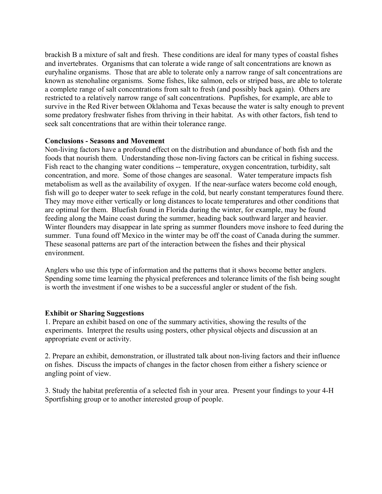brackish B a mixture of salt and fresh. These conditions are ideal for many types of coastal fishes and invertebrates. Organisms that can tolerate a wide range of salt concentrations are known as euryhaline organisms. Those that are able to tolerate only a narrow range of salt concentrations are known as stenohaline organisms. Some fishes, like salmon, eels or striped bass, are able to tolerate a complete range of salt concentrations from salt to fresh (and possibly back again). Others are restricted to a relatively narrow range of salt concentrations. Pupfishes, for example, are able to survive in the Red River between Oklahoma and Texas because the water is salty enough to prevent some predatory freshwater fishes from thriving in their habitat. As with other factors, fish tend to seek salt concentrations that are within their tolerance range.

### **Conclusions - Seasons and Movement**

Non-living factors have a profound effect on the distribution and abundance of both fish and the foods that nourish them. Understanding those non-living factors can be critical in fishing success. Fish react to the changing water conditions -- temperature, oxygen concentration, turbidity, salt concentration, and more. Some of those changes are seasonal. Water temperature impacts fish metabolism as well as the availability of oxygen. If the near-surface waters become cold enough, fish will go to deeper water to seek refuge in the cold, but nearly constant temperatures found there. They may move either vertically or long distances to locate temperatures and other conditions that are optimal for them. Bluefish found in Florida during the winter, for example, may be found feeding along the Maine coast during the summer, heading back southward larger and heavier. Winter flounders may disappear in late spring as summer flounders move inshore to feed during the summer. Tuna found off Mexico in the winter may be off the coast of Canada during the summer. These seasonal patterns are part of the interaction between the fishes and their physical environment.

Anglers who use this type of information and the patterns that it shows become better anglers. Spending some time learning the physical preferences and tolerance limits of the fish being sought is worth the investment if one wishes to be a successful angler or student of the fish.

### **Exhibit or Sharing Suggestions**

1. Prepare an exhibit based on one of the summary activities, showing the results of the experiments. Interpret the results using posters, other physical objects and discussion at an appropriate event or activity.

2. Prepare an exhibit, demonstration, or illustrated talk about non-living factors and their influence on fishes. Discuss the impacts of changes in the factor chosen from either a fishery science or angling point of view.

3. Study the habitat preferentia of a selected fish in your area. Present your findings to your 4-H Sportfishing group or to another interested group of people.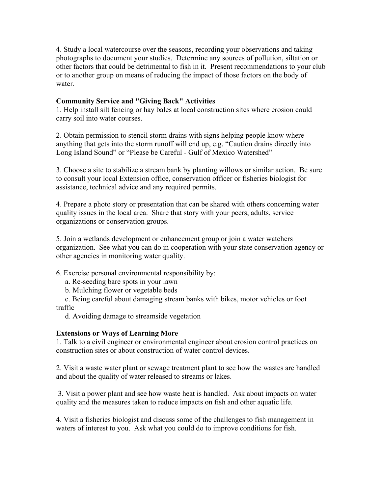4. Study a local watercourse over the seasons, recording your observations and taking photographs to document your studies. Determine any sources of pollution, siltation or other factors that could be detrimental to fish in it. Present recommendations to your club or to another group on means of reducing the impact of those factors on the body of water.

# **Community Service and "Giving Back" Activities**

1. Help install silt fencing or hay bales at local construction sites where erosion could carry soil into water courses.

2. Obtain permission to stencil storm drains with signs helping people know where anything that gets into the storm runoff will end up, e.g. "Caution drains directly into Long Island Sound" or "Please be Careful - Gulf of Mexico Watershed"

3. Choose a site to stabilize a stream bank by planting willows or similar action. Be sure to consult your local Extension office, conservation officer or fisheries biologist for assistance, technical advice and any required permits.

4. Prepare a photo story or presentation that can be shared with others concerning water quality issues in the local area. Share that story with your peers, adults, service organizations or conservation groups.

5. Join a wetlands development or enhancement group or join a water watchers organization. See what you can do in cooperation with your state conservation agency or other agencies in monitoring water quality.

6. Exercise personal environmental responsibility by:

a. Re-seeding bare spots in your lawn

b. Mulching flower or vegetable beds

c. Being careful about damaging stream banks with bikes, motor vehicles or foot traffic

d. Avoiding damage to streamside vegetation

# **Extensions or Ways of Learning More**

1. Talk to a civil engineer or environmental engineer about erosion control practices on construction sites or about construction of water control devices.

2. Visit a waste water plant or sewage treatment plant to see how the wastes are handled and about the quality of water released to streams or lakes.

 3. Visit a power plant and see how waste heat is handled. Ask about impacts on water quality and the measures taken to reduce impacts on fish and other aquatic life.

4. Visit a fisheries biologist and discuss some of the challenges to fish management in waters of interest to you. Ask what you could do to improve conditions for fish.